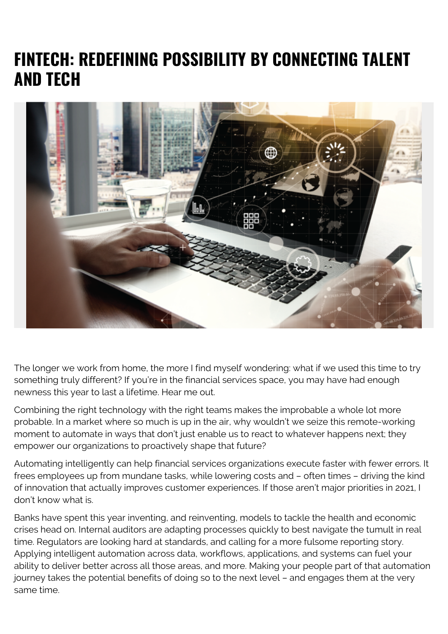## **FINTECH: REDEFINING POSSIBILITY BY CONNECTING TALENT AND TECH**



The longer we work from home, the more I find myself wondering: what if we used this time to try something truly different? If you're in the financial services space, you may have had enough newness this year to last a lifetime. Hear me out.

Combining the right technology with the right teams makes the improbable a whole lot more probable. In a market where so much is up in the air, why wouldn't we seize this remote-working moment to automate in ways that don't just enable us to react to whatever happens next; they empower our organizations to proactively shape that future?

Automating intelligently can help financial services organizations execute faster with fewer errors. It frees employees up from mundane tasks, while lowering costs and – often times – driving the kind of innovation that actually improves customer experiences. If those aren't major priorities in 2021, I don't know what is.

Banks have spent this year inventing, and reinventing, models to tackle the health and economic crises head on. Internal auditors are adapting processes quickly to best navigate the tumult in real time. Regulators are looking hard at standards, and calling for a more fulsome reporting story. Applying intelligent automation across data, workflows, applications, and systems can fuel your ability to deliver better across all those areas, and more. Making your people part of that automation journey takes the potential benefits of doing so to the next level – and engages them at the very same time.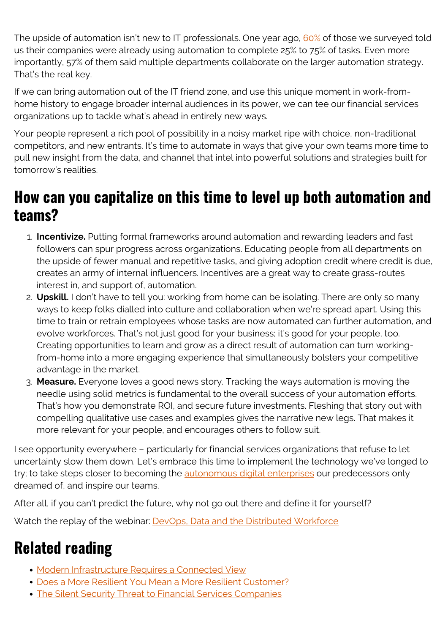The upside of automation isn't new to IT professionals. One year ago, [60%](https://documents.bmc.com/products/documents/20/68/522068/522068.pdf) of those we surveyed told us their companies were already using automation to complete 25% to 75% of tasks. Even more importantly, 57% of them said multiple departments collaborate on the larger automation strategy. That's the real key.

If we can bring automation out of the IT friend zone, and use this unique moment in work-fromhome history to engage broader internal audiences in its power, we can tee our financial services organizations up to tackle what's ahead in entirely new ways.

Your people represent a rich pool of possibility in a noisy market ripe with choice, non-traditional competitors, and new entrants. It's time to automate in ways that give your own teams more time to pull new insight from the data, and channel that intel into powerful solutions and strategies built for tomorrow's realities.

## **How can you capitalize on this time to level up both automation and teams?**

- 1. **Incentivize.** Putting formal frameworks around automation and rewarding leaders and fast followers can spur progress across organizations. Educating people from all departments on the upside of fewer manual and repetitive tasks, and giving adoption credit where credit is due, creates an army of internal influencers. Incentives are a great way to create grass-routes interest in, and support of, automation.
- 2. **Upskill.** I don't have to tell you: working from home can be isolating. There are only so many ways to keep folks dialled into culture and collaboration when we're spread apart. Using this time to train or retrain employees whose tasks are now automated can further automation, and evolve workforces. That's not just good for your business; it's good for your people, too. Creating opportunities to learn and grow as a direct result of automation can turn workingfrom-home into a more engaging experience that simultaneously bolsters your competitive advantage in the market.
- 3. **Measure.** Everyone loves a good news story. Tracking the ways automation is moving the needle using solid metrics is fundamental to the overall success of your automation efforts. That's how you demonstrate ROI, and secure future investments. Fleshing that story out with compelling qualitative use cases and examples gives the narrative new legs. That makes it more relevant for your people, and encourages others to follow suit.

I see opportunity everywhere – particularly for financial services organizations that refuse to let uncertainty slow them down. Let's embrace this time to implement the technology we've longed to try; to take steps closer to becoming the [autonomous digital enterprises](https://blogs.bmc.com/corporate/autonomous-digital-enterprise.html) our predecessors only dreamed of, and inspire our teams.

After all, if you can't predict the future, why not go out there and define it for yourself?

Watch the replay of the webinar: **DevOps**, Data and the Distributed Workforce

## **Related reading**

- [Modern Infrastructure Requires a Connected View](https://blogs.bmc.com/blogs/modern-infrastructure-requires-a-connected-view/)
- [Does a More Resilient You Mean a More Resilient Customer?](https://blogs.bmc.com/blogs/more-resilient-customer/)
- [The Silent Security Threat to Financial Services Companies](https://blogs.bmc.com/blogs/the-silent-security-threat-to-financial-services-companies/)